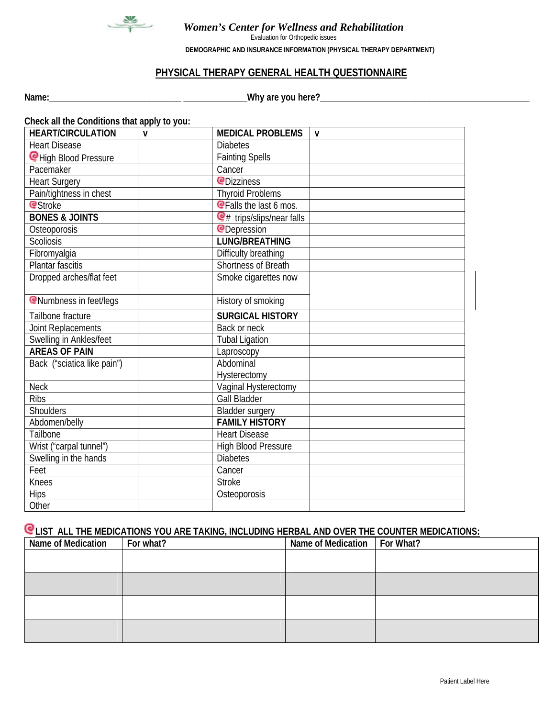

### *Women's Center for Wellness and Rehabilitation*

Evaluation for Orthopedic issues

**DEMOGRAPHIC AND INSURANCE INFORMATION (PHYSICAL THERAPY DEPARTMENT)**

#### **PHYSICAL THERAPY GENERAL HEALTH QUESTIONNAIRE**

**Name:\_\_\_\_\_\_\_\_\_\_\_\_\_\_\_\_\_\_\_\_\_\_\_\_\_\_\_\_\_ \_\_\_\_\_\_\_\_\_\_\_\_\_\_Why are you here?\_\_\_\_\_\_\_\_\_\_\_\_\_\_\_\_\_\_\_\_\_\_\_\_\_\_\_\_\_\_\_\_\_\_\_\_\_\_\_\_\_\_\_\_\_\_**

# **Check all the Conditions that apply to you:**

| <b>HEART/CIRCULATION</b>    | $\mathbf v$ | <b>MEDICAL PROBLEMS</b>         | $\mathbf{V}$ |
|-----------------------------|-------------|---------------------------------|--------------|
| <b>Heart Disease</b>        |             | <b>Diabetes</b>                 |              |
| CHigh Blood Pressure        |             | <b>Fainting Spells</b>          |              |
| Pacemaker                   |             | Cancer                          |              |
| <b>Heart Surgery</b>        |             | <b><i><u></u></i></b> Dizziness |              |
| Pain/tightness in chest     |             | <b>Thyroid Problems</b>         |              |
| <b>Stroke</b>               |             | <b>@Falls the last 6 mos.</b>   |              |
| <b>BONES &amp; JOINTS</b>   |             | L# trips/slips/near falls       |              |
| Osteoporosis                |             | <b>P</b> Depression             |              |
| <b>Scoliosis</b>            |             | <b>LUNG/BREATHING</b>           |              |
| Fibromyalgia                |             | Difficulty breathing            |              |
| Plantar fascitis            |             | <b>Shortness of Breath</b>      |              |
| Dropped arches/flat feet    |             | Smoke cigarettes now            |              |
|                             |             |                                 |              |
| Numbness in feet/legs       |             | History of smoking              |              |
| Tailbone fracture           |             | <b>SURGICAL HISTORY</b>         |              |
| Joint Replacements          |             | Back or neck                    |              |
| Swelling in Ankles/feet     |             | <b>Tubal Ligation</b>           |              |
| <b>AREAS OF PAIN</b>        |             | Laproscopy                      |              |
| Back ("sciatica like pain") |             | Abdominal                       |              |
|                             |             | Hysterectomy                    |              |
| <b>Neck</b>                 |             | Vaginal Hysterectomy            |              |
| <b>Ribs</b>                 |             | <b>Gall Bladder</b>             |              |
| <b>Shoulders</b>            |             | <b>Bladder</b> surgery          |              |
| Abdomen/belly               |             | <b>FAMILY HISTORY</b>           |              |
| Tailbone                    |             | <b>Heart Disease</b>            |              |
| Wrist ("carpal tunnel")     |             | <b>High Blood Pressure</b>      |              |
| Swelling in the hands       |             | <b>Diabetes</b>                 |              |
| Feet                        |             | Cancer                          |              |
| Knees                       |             | <b>Stroke</b>                   |              |
| <b>Hips</b>                 |             | Osteoporosis                    |              |
| Other                       |             |                                 |              |

#### **LIST ALL THE MEDICATIONS YOU ARE TAKING, INCLUDING HERBAL AND OVER THE COUNTER MEDICATIONS:**

| Name of Medication | For what? | Name of Medication   For What? |  |
|--------------------|-----------|--------------------------------|--|
|                    |           |                                |  |
|                    |           |                                |  |
|                    |           |                                |  |
|                    |           |                                |  |
|                    |           |                                |  |
|                    |           |                                |  |
|                    |           |                                |  |
|                    |           |                                |  |